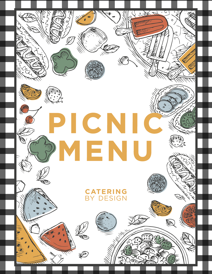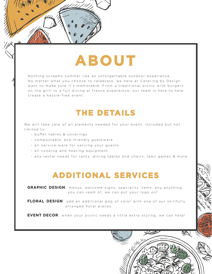

Nothing screams summer like an unforgettable outdoor experience. No matter what you choose to celebrate, we here at Catering by Design want to make sure it's memorable. From a traditional picnic with burgers on the grill to a full dining al fresco expereince, our team is here to help create a hassle-free event.

# **THE DETAILS**

We will take care of all elements needed for your event, included but not limited to:

- buffet tables & coverings
- compostable, eco-friendly guestware
- all service-ware for serving your guests
- all cooking and heating equipment
- any rental needs for tents, dining tables and chairs, lawn games & more

# **ADDITIONAL SERVICES**

**GRAPHIC DESIGN**: menus, welcome signs, speciality items, any anything you can ream of, we can put your logo on!

**FLORAL DESIGN**: add an additional pop of color with one of our skillfully arranged floral pieces.

**EVENT DECOR**: when your picnic needs a little extra styling, we can help!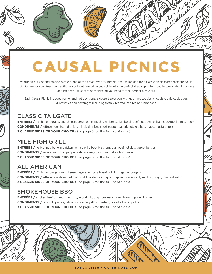# **CAUSAL PICNICS**

A MARIAN RESERVE

 $\mathcal{M}% _{0}=\mathcal{M}_{0}=\mathcal{M}_{0}=\mathcal{M}_{0}=\mathcal{M}_{0}=\mathcal{M}_{0}=\mathcal{M}_{0}=\mathcal{M}_{0}=\mathcal{M}_{0}=\mathcal{M}_{0}=\mathcal{M}_{0}=\mathcal{M}_{0}=\mathcal{M}_{0}=\mathcal{M}_{0}=\mathcal{M}_{0}=\mathcal{M}_{0}=\mathcal{M}_{0}=\mathcal{M}_{0}=\mathcal{M}_{0}=\mathcal{M}_{0}=\mathcal{M}_{0}=\mathcal{M}_{0}=\mathcal{M}_{0}=\mathcal{M}_{0}=\mathcal{M}_{0}=\mathcal{M}_{0}=\mathcal{M}_{0}=\math$ 

Venturing outside and enjoy a picnic is one of the great joys of summer! If you're looking for a classic picnic experience our causal picnics are for you. Feast on traditional cook out fare while you settle into the perfect shady spot. No need to worry about cooking and prep we'll take care of everything you need for the perfect picnic out.

Each Causal Picnic includes burger and hot dog buns, a dessert selection with gourmet cookies, chocolate chip cookie bars & brownies and beverages including freshly brewed iced tea and lemonade.

# CLASSIC TAILGATE

**ENTRÉES /** 1/3 lb hamburgers and cheeseburger, boneless chicken breast, jumbo all-beef hot dogs, balsamic portobello mushroom **CONDIMENTS /** lettuce, tomato, red onion, dill pickle slice, sport pepper, sauerkraut, ketchup, mayo, mustard, relish **3 CLASSIC SIDES OF YOUR CHOICE** (See page 5 for the full list of sides).

# MILE HIGH GRILL

**ENTRÉES /** herb brined bone in chicken, johnsonville beer brat, jumbo all beef hot dog, gardenburger **CONDIMENTS /** sauerkraut, sport pepper, ketchup, mayo, mustard, relish, bbq sauce **2 CLASSIC SIDES OF YOUR CHOICE** (See page 5 for the full list of sides).

# ALL AMERICAN

**ENTRÉES /** 1/3 lb hamburgers and cheeseburgers, jumbo all-beef hot dogs, gardenburgers **CONDIMENTS /** lettuce, tomatoes, red onions, dill pickle slices, sport peppers, sauerkraut, ketchup, mayo, mustard, relish **2 CLASSIC SIDES OF YOUR CHOICE** (See page 5 for the full list of sides).

# SMOKEHOUSE BBQ

**ENTRÉES /** smoked beef brisket, st louis style pork rib, bbq boneless chicken breast, garden burger **CONDIMENTS /** texas bbq sauce, white bbq sauce, yellow mustard, bread & butter pickle **3 CLASSIC SIDES OF YOUR CHOICE** (See page 5 for the full list of sides).

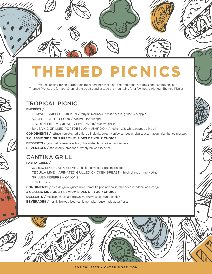

# **THEMED PICNICS**

If you're looking for an outdoor dining experience that's not the traditional hot dogs and hambugers, our Themed Picnics are for you! Channel the tropics and escape the mountains for a few hours with our Themed Picnics.

# TROPICAL PICNIC

### **ENTRÉES /**

TERIYAKI GRILLED CHICKEN / teriyaki marinade, swiss cheese, grilled pineapple NAKED ROASTED PORK / natural juice, vinegar TEQUILA LIME MARINATED MAHI MAHI/ cilantro, garlic BALSAMIC GRILLED PORTOBELLO MUSHROOM / kosher salt, white pepper, olive oil **CONDIMENTS /** lettuce, tomato, red onion, dill pickle, sweet + spicy caribeean bbq sauce, mayonnaise, honey mustard **3 CLASSIC SIDE OR 2 PREMIUM SIDES OF YOUR CHOICE DESSERTS /** gourmet cookie selection, chocolate chip cookie bar, brownie **BEVERAGES /** strawberry lemoande, freshly brewed iced tea

# CANTINA GRILL

**FAJITA GRILL /** 

GARLIC LIME FLANK STEAK / shallot, olive oil, citrus marinade TEQUILA LIME MARINATED GRILLED CHICKEN BREAST / fresh cilantro, lime wedge GRILLED PEPEPRS + ONIONS

**TORTILLAS** 

**CONDIMENTS /** pico de gallo, guacamole, tomatillo poblano salsa, shredded cheddar, jack, cotija

### **3 CLASSIC SIDE OR 2 PREMIUM SIDES OF YOUR CHOICE**

**DESSERTS /** mexican chocolate brownies, churro spice sugar cookie **BEVERAGES /** freshly brewed iced tea, lemonade, housemade aqua fresca